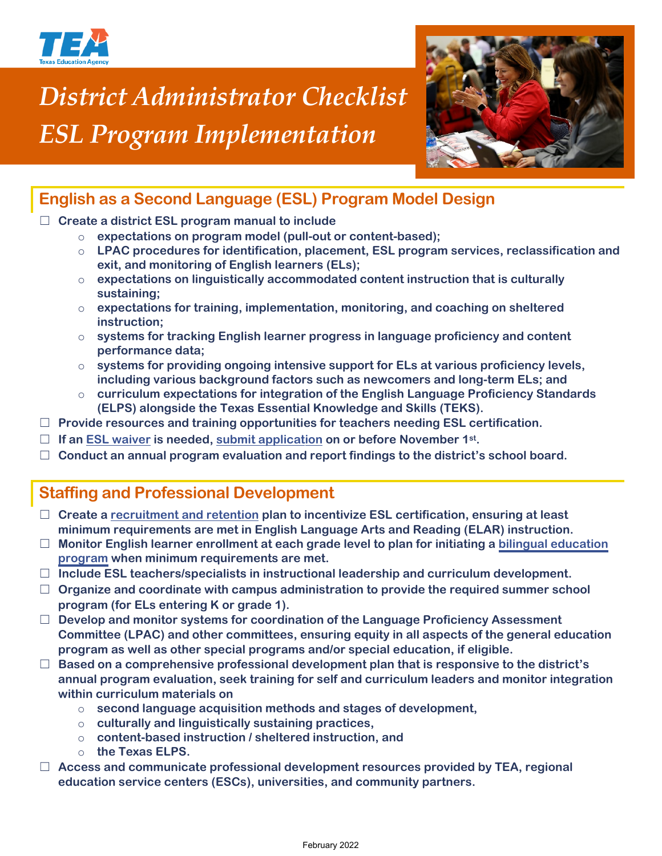

# *District Administrator Checklist ESL Program Implementation*



# **English as a Second Language (ESL) Program Model Design**

#### ☐ **Create a district ESL program manual to include**

- o **expectations on program model (pull-out or content-based);**
- o **LPAC procedures for identification, placement, ESL program services, reclassification and exit, and monitoring of English learners (ELs);**
- o **expectations on linguistically accommodated content instruction that is culturally sustaining;**
- o **expectations for training, implementation, monitoring, and coaching on sheltered instruction;**
- o **systems for tracking English learner progress in language proficiency and content performance data;**
- o **systems for providing ongoing intensive support for ELs at various proficiency levels, including various background factors such as newcomers and long-term ELs; and**
- o **curriculum expectations for integration of the English Language Proficiency Standards (ELPS) alongside the Texas Essential Knowledge and Skills (TEKS).**
- ☐ **Provide resources and training opportunities for teachers needing ESL certification.**
- ☐ **If an [ESL waiver](https://tea.texas.gov/sites/default/files/ESL%20Waiver%20Scenario%20Chain%202019_2020%20update.pdf) is needed, [submit application](https://tea.texas.gov/Academics/Special_Student_Populations/Bilingual_ESL_Education/Bilingual_Education_Exception_and_ESL_Waiver_Resources) on or before November 1st.**
- ☐ **Conduct an annual program evaluation and report findings to the district's school board.**

### **Staffing and Professional Development**

- ☐ **Create a [recruitment and retention](https://tea.texas.gov/sites/default/files/Building%20Bilingual%20and%20ESL%20Programs.pdf) plan to incentivize ESL certification, ensuring at least minimum requirements are met in English Language Arts and Reading (ELAR) instruction.**
- ☐ **Monitor English learner enrollment at each grade level to plan for initiating a [bilingual education](https://tea.texas.gov/sites/default/files/Bilingual%20Education%20Exception%20Scenario%20Chain%202019-2020%20update.pdf) [program](https://tea.texas.gov/sites/default/files/Bilingual%20Education%20Exception%20Scenario%20Chain%202019-2020%20update.pdf) when minimum requirements are met.**
- ☐ **Include ESL teachers/specialists in instructional leadership and curriculum development.**
- ☐ **Organize and coordinate with campus administration to provide the required summer school program (for ELs entering K or grade 1).**
- ☐ **Develop and monitor systems for coordination of the Language Proficiency Assessment Committee (LPAC) and other committees, ensuring equity in all aspects of the general education program as well as other special programs and/or special education, if eligible.**
- ☐ **Based on a comprehensive professional development plan that is responsive to the district's annual program evaluation, seek training for self and curriculum leaders and monitor integration within curriculum materials on**
	- o **second language acquisition methods and stages of development,**
	- o **culturally and linguistically sustaining practices,**
	- o **content-based instruction / sheltered instruction, and**
	- o **the Texas ELPS.**
- ☐ **Access and communicate professional development resources provided by TEA, regional education service centers (ESCs), universities, and community partners.**